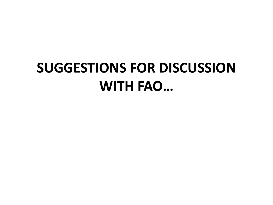## **SUGGESTIONS FOR DISCUSSION WITH FAO…**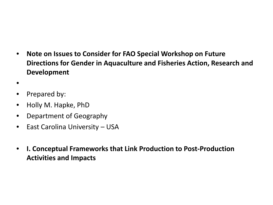- **Note on Issues to Consider for FAO Special Workshop on Future Directions for Gender in Aquaculture and Fisheries Action, Research and Development**
- •
- Prepared by:
- Holly M. Hapke, PhD
- Department of Geography
- East Carolina University USA
- **I. Conceptual Frameworks that Link Production to Post-Production Activities and Impacts**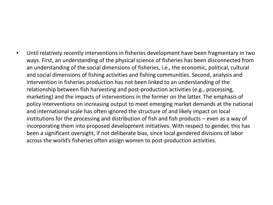• Until relatively recently interventions in fisheries development have been fragmentary in two ways. First, an understanding of the physical science of fisheries has been disconnected from an understanding of the social dimensions of fisheries, i.e., the economic, political, cultural and social dimensions of fishing activities and fishing communities. Second, analysis and intervention in fisheries production has not been linked to an understanding of the relationship between fish harvesting and post-production activities (e.g., processing, marketing) and the impacts of interventions in the former on the latter. The emphasis of policy interventions on increasing output to meet emerging market demands at the national and international scale has often ignored the structure of and likely impact on local institutions for the processing and distribution of fish and fish products – even as a way of incorporating them into proposed development initiatives. With respect to gender, this has been a significant oversight, if not deliberate bias, since local gendered divisions of labor across the world's fisheries often assign women to post-production activities.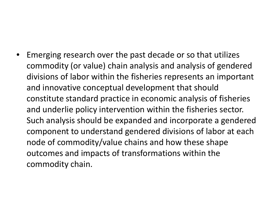• Emerging research over the past decade or so that utilizes commodity (or value) chain analysis and analysis of gendered divisions of labor within the fisheries represents an important and innovative conceptual development that should constitute standard practice in economic analysis of fisheries and underlie policy intervention within the fisheries sector. Such analysis should be expanded and incorporate a gendered component to understand gendered divisions of labor at each node of commodity/value chains and how these shape outcomes and impacts of transformations within the commodity chain.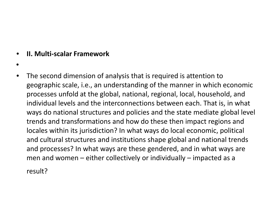#### • **II. Multi-scalar Framework**

- •
- The second dimension of analysis that is required is attention to geographic scale, i.e., an understanding of the manner in which economic processes unfold at the global, national, regional, local, household, and individual levels and the interconnections between each. That is, in what ways do national structures and policies and the state mediate global level trends and transformations and how do these then impact regions and locales within its jurisdiction? In what ways do local economic, political and cultural structures and institutions shape global and national trends and processes? In what ways are these gendered, and in what ways are men and women – either collectively or individually – impacted as a

result?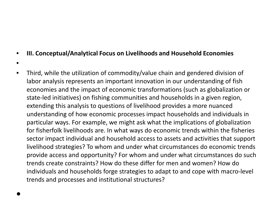#### • **III. Conceptual/Analytical Focus on Livelihoods and Household Economies**

- •
- Third, while the utilization of commodity/value chain and gendered division of labor analysis represents an important innovation in our understanding of fish economies and the impact of economic transformations (such as globalization or state-led initiatives) on fishing communities and households in a given region, extending this analysis to questions of livelihood provides a more nuanced understanding of how economic processes impact households and individuals in particular ways. For example, we might ask what the implications of globalization for fisherfolk livelihoods are. In what ways do economic trends within the fisheries sector impact individual and household access to assets and activities that support livelihood strategies? To whom and under what circumstances do economic trends provide access and opportunity? For whom and under what circumstances do such trends create constraints? How do these differ for men and women? How do individuals and households forge strategies to adapt to and cope with macro-level trends and processes and institutional structures?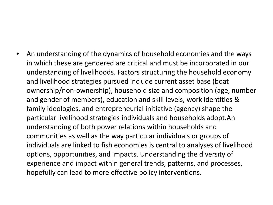• An understanding of the dynamics of household economies and the ways in which these are gendered are critical and must be incorporated in our understanding of livelihoods. Factors structuring the household economy and livelihood strategies pursued include current asset base (boat ownership/non-ownership), household size and composition (age, number and gender of members), education and skill levels, work identities & family ideologies, and entrepreneurial initiative (agency) shape the particular livelihood strategies individuals and households adopt.An understanding of both power relations within households and communities as well as the way particular individuals or groups of individuals are linked to fish economies is central to analyses of livelihood options, opportunities, and impacts. Understanding the diversity of experience and impact within general trends, patterns, and processes, hopefully can lead to more effective policy interventions.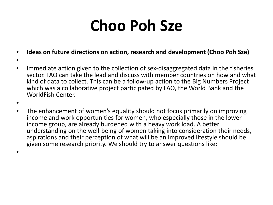# **Choo Poh Sze**

- **Ideas on future directions on action, research and development (Choo Poh Sze)**
- •
- Immediate action given to the collection of sex-disaggregated data in the fisheries sector. FAO can take the lead and discuss with member countries on how and what kind of data to collect. This can be a follow-up action to the Big Numbers Project which was a collaborative project participated by FAO, the World Bank and the WorldFish Center.
- •
- The enhancement of women's equality should not focus primarily on improving income and work opportunities for women, who especially those in the lower income group, are already burdened with a heavy work load. A better understanding on the well-being of women taking into consideration their needs, aspirations and their perception of what will be an improved lifestyle should be given some research priority. We should try to answer questions like:
- •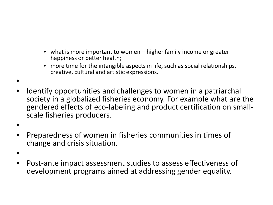- what is more important to women higher family income or greater happiness or better health;
- more time for the intangible aspects in life, such as social relationships, creative, cultural and artistic expressions.
- Identify opportunities and challenges to women in a patriarchal society in a globalized fisheries economy. For example what are the gendered effects of eco-labeling and product certification on small- scale fisheries producers.
- •

•

- Preparedness of women in fisheries communities in times of change and crisis situation.
- •
- Post-ante impact assessment studies to assess effectiveness of development programs aimed at addressing gender equality.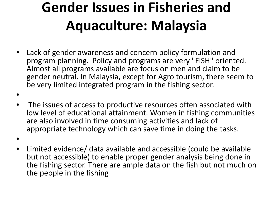## **Gender Issues in Fisheries and Aquaculture: Malaysia**

- Lack of gender awareness and concern policy formulation and program planning. Policy and programs are very "FISH" oriented. Almost all programs available are focus on men and claim to be gender neutral. In Malaysia, except for Agro tourism, there seem to be very limited integrated program in the fishing sector.
- •
- The issues of access to productive resources often associated with low level of educational attainment. Women in fishing communities are also involved in time consuming activities and lack of appropriate technology which can save time in doing the tasks.
- •
- Limited evidence/ data available and accessible (could be available but not accessible) to enable proper gender analysis being done in the fishing sector. There are ample data on the fish but not much on the people in the fishing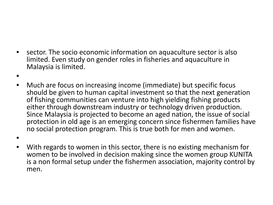- sector. The socio economic information on aquaculture sector is also limited. Even study on gender roles in fisheries and aquaculture in Malaysia is limited.
- •

•

- Much are focus on increasing income (immediate) but specific focus should be given to human capital investment so that the next generation of fishing communities can venture into high yielding fishing products either through downstream industry or technology driven production. Since Malaysia is projected to become an aged nation, the issue of social protection in old age is an emerging concern since fishermen families have no social protection program. This is true both for men and women.
- With regards to women in this sector, there is no existing mechanism for women to be involved in decision making since the women group KUNITA is a non formal setup under the fishermen association, majority control by men.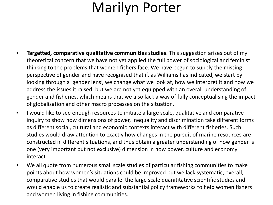### Marilyn Porter

- **Targetted, comparative qualitative communities studies**. This suggestion arises out of my theoretical concern that we have not yet applied the full power of sociological and feminist thinking to the problems that women fishers face. We have begun to supply the missing perspective of gender and have recognised that if, as Williams has indicated, we start by looking through a 'gender lens', we change what we look at, how we interpret it and how we address the issues it raised. but we are not yet equipped with an overall understanding of gender and fisheries, which means that we also lack a way of fully conceptualising the impact of globalisation and other macro processes on the situation.
- I would like to see enough resources to initiate a large scale, qualitative and comparative inquiry to show how dimensions of power, inequality and discrimination take different forms as different social, cultural and economic contexts interact with different fisheries. Such studies would draw attention to exactly how changes in the pursuit of marine resources are constructed in different situations, and thus obtain a greater understanding of how gender is one (very important but not exclusive) dimension in how power, culture and economy interact.
- We all quote from numerous small scale studies of particular fishing communities to make points about how women's situations could be improved but we lack systematic, overall, comparative studies that would parallel the large scale quanititative scientific studies and would enable us to create realistic and substantial policy frameworks to help women fishers and women living in fishing communities.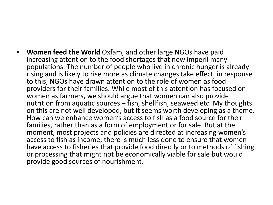• **Women feed the World** Oxfam, and other large NGOs have paid increasing attention to the food shortages that now imperil many populations. The number of people who live in chronic hunger is already rising and is likely to rise more as climate changes take effect. in response to this, NGOs have drawn attention to the role of women as food providers for their families. While most of this attention has focused on women as farmers, we should argue that women can also provide nutrition from aquatic sources  $-\tilde{f}$ ish, shellfish, seaweed etc. My thoughts on this are not well developed, but it seems worth developing as a theme. How can we enhance women's access to fish as a food source for their families, rather than as a form of employment or for sale. But at the moment, most projects and policies are directed at increasing women's access to fish as income; there is much less done to ensure that women have access to fisheries that provide food directly or to methods of fishing or processing that might not be economically viable for sale but would provide good sources of nourishment.